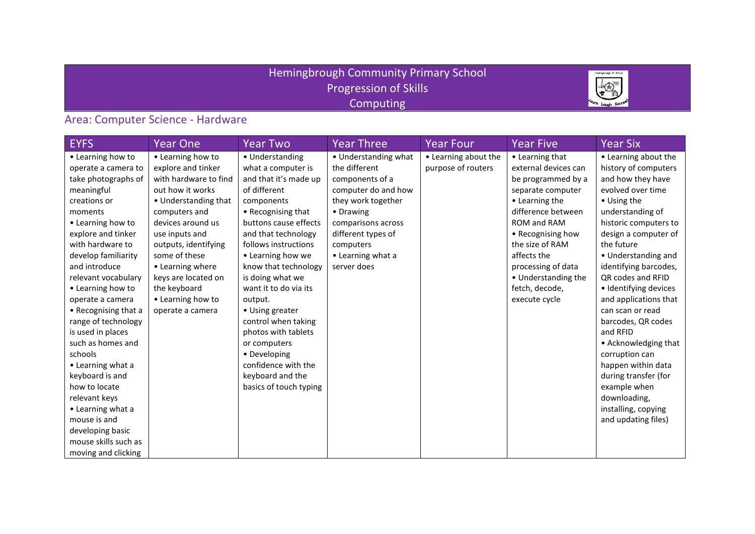#### Hemingbrough Community Primary School Progression of Skills **Computing**



### Area: Computer Science - Hardware

| <b>EYFS</b>          | <b>Year One</b>       | <b>Year Two</b>        | <b>Year Three</b>    | <b>Year Four</b>     | <b>Year Five</b>     | <b>Year Six</b>       |
|----------------------|-----------------------|------------------------|----------------------|----------------------|----------------------|-----------------------|
| • Learning how to    | • Learning how to     | • Understanding        | • Understanding what | • Learning about the | • Learning that      | • Learning about the  |
| operate a camera to  | explore and tinker    | what a computer is     | the different        | purpose of routers   | external devices can | history of computers  |
| take photographs of  | with hardware to find | and that it's made up  | components of a      |                      | be programmed by a   | and how they have     |
| meaningful           | out how it works      | of different           | computer do and how  |                      | separate computer    | evolved over time     |
| creations or         | • Understanding that  | components             | they work together   |                      | • Learning the       | • Using the           |
| moments              | computers and         | • Recognising that     | • Drawing            |                      | difference between   | understanding of      |
| • Learning how to    | devices around us     | buttons cause effects  | comparisons across   |                      | ROM and RAM          | historic computers to |
| explore and tinker   | use inputs and        | and that technology    | different types of   |                      | • Recognising how    | design a computer of  |
| with hardware to     | outputs, identifying  | follows instructions   | computers            |                      | the size of RAM      | the future            |
| develop familiarity  | some of these         | • Learning how we      | • Learning what a    |                      | affects the          | • Understanding and   |
| and introduce        | • Learning where      | know that technology   | server does          |                      | processing of data   | identifying barcodes, |
| relevant vocabulary  | keys are located on   | is doing what we       |                      |                      | • Understanding the  | QR codes and RFID     |
| • Learning how to    | the keyboard          | want it to do via its  |                      |                      | fetch, decode,       | · Identifying devices |
| operate a camera     | • Learning how to     | output.                |                      |                      | execute cycle        | and applications that |
| • Recognising that a | operate a camera      | • Using greater        |                      |                      |                      | can scan or read      |
| range of technology  |                       | control when taking    |                      |                      |                      | barcodes, QR codes    |
| is used in places    |                       | photos with tablets    |                      |                      |                      | and RFID              |
| such as homes and    |                       | or computers           |                      |                      |                      | • Acknowledging that  |
| schools              |                       | • Developing           |                      |                      |                      | corruption can        |
| • Learning what a    |                       | confidence with the    |                      |                      |                      | happen within data    |
| keyboard is and      |                       | keyboard and the       |                      |                      |                      | during transfer (for  |
| how to locate        |                       | basics of touch typing |                      |                      |                      | example when          |
| relevant keys        |                       |                        |                      |                      |                      | downloading,          |
| • Learning what a    |                       |                        |                      |                      |                      | installing, copying   |
| mouse is and         |                       |                        |                      |                      |                      | and updating files)   |
| developing basic     |                       |                        |                      |                      |                      |                       |
| mouse skills such as |                       |                        |                      |                      |                      |                       |
| moving and clicking  |                       |                        |                      |                      |                      |                       |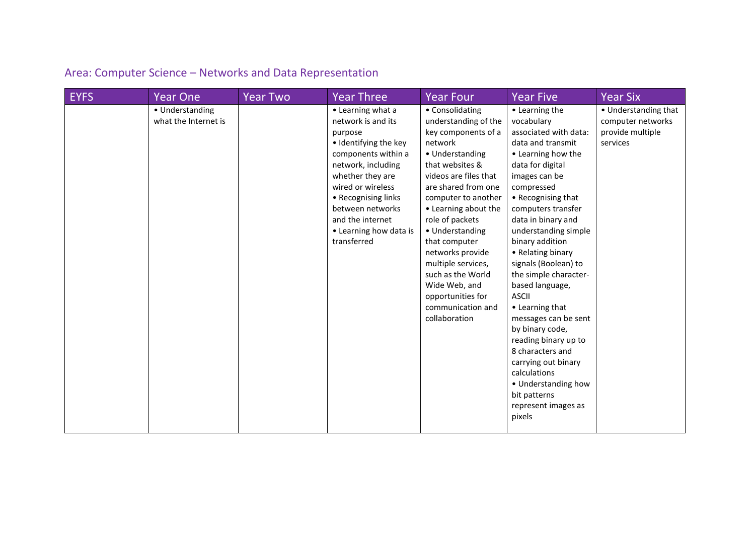### Area: Computer Science – Networks and Data Representation

| <b>EYFS</b> | <b>Year One</b>                         | <b>Year Two</b> | <b>Year Three</b>                                                                                                                                                                                                                                                         | <b>Year Four</b>                                                                                                                                                                                                                                                                                                                                                                                                 | <b>Year Five</b>                                                                                                                                                                                                                                                                                                                                                                                                                                                                                                                                                                                   | <b>Year Six</b>                                                           |
|-------------|-----------------------------------------|-----------------|---------------------------------------------------------------------------------------------------------------------------------------------------------------------------------------------------------------------------------------------------------------------------|------------------------------------------------------------------------------------------------------------------------------------------------------------------------------------------------------------------------------------------------------------------------------------------------------------------------------------------------------------------------------------------------------------------|----------------------------------------------------------------------------------------------------------------------------------------------------------------------------------------------------------------------------------------------------------------------------------------------------------------------------------------------------------------------------------------------------------------------------------------------------------------------------------------------------------------------------------------------------------------------------------------------------|---------------------------------------------------------------------------|
|             | • Understanding<br>what the Internet is |                 | • Learning what a<br>network is and its<br>purpose<br>· Identifying the key<br>components within a<br>network, including<br>whether they are<br>wired or wireless<br>• Recognising links<br>between networks<br>and the internet<br>• Learning how data is<br>transferred | • Consolidating<br>understanding of the<br>key components of a<br>network<br>• Understanding<br>that websites &<br>videos are files that<br>are shared from one<br>computer to another<br>• Learning about the<br>role of packets<br>• Understanding<br>that computer<br>networks provide<br>multiple services,<br>such as the World<br>Wide Web, and<br>opportunities for<br>communication and<br>collaboration | • Learning the<br>vocabulary<br>associated with data:<br>data and transmit<br>• Learning how the<br>data for digital<br>images can be<br>compressed<br>• Recognising that<br>computers transfer<br>data in binary and<br>understanding simple<br>binary addition<br>• Relating binary<br>signals (Boolean) to<br>the simple character-<br>based language,<br><b>ASCII</b><br>• Learning that<br>messages can be sent<br>by binary code,<br>reading binary up to<br>8 characters and<br>carrying out binary<br>calculations<br>• Understanding how<br>bit patterns<br>represent images as<br>pixels | • Understanding that<br>computer networks<br>provide multiple<br>services |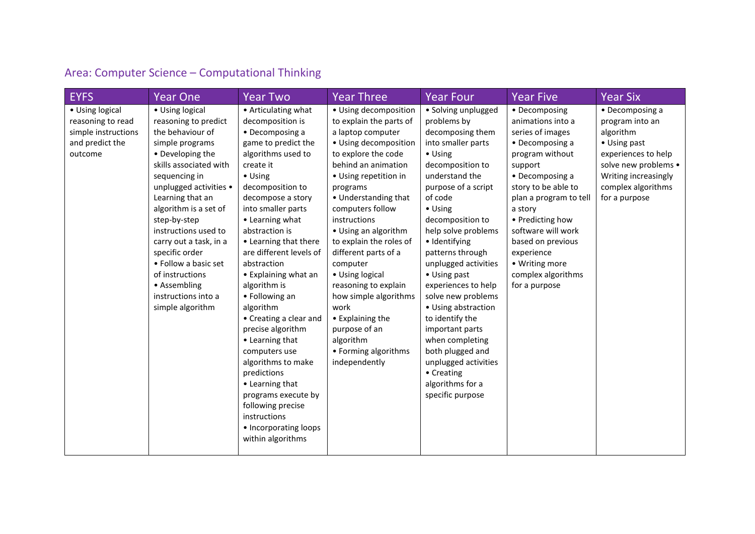### Area: Computer Science – Computational Thinking

| <b>EYFS</b>         | <b>Year One</b>        | <b>Year Two</b>         | <b>Year Three</b>       | <b>Year Four</b>     | <b>Year Five</b>       | <b>Year Six</b>      |
|---------------------|------------------------|-------------------------|-------------------------|----------------------|------------------------|----------------------|
| • Using logical     | • Using logical        | • Articulating what     | • Using decomposition   | · Solving unplugged  | • Decomposing          | • Decomposing a      |
| reasoning to read   | reasoning to predict   | decomposition is        | to explain the parts of | problems by          | animations into a      | program into an      |
| simple instructions | the behaviour of       | • Decomposing a         | a laptop computer       | decomposing them     | series of images       | algorithm            |
| and predict the     | simple programs        | game to predict the     | • Using decomposition   | into smaller parts   | • Decomposing a        | • Using past         |
| outcome             | • Developing the       | algorithms used to      | to explore the code     | • Using              | program without        | experiences to help  |
|                     | skills associated with | create it               | behind an animation     | decomposition to     | support                | solve new problems • |
|                     | sequencing in          | • Using                 | • Using repetition in   | understand the       | • Decomposing a        | Writing increasingly |
|                     | unplugged activities • | decomposition to        | programs                | purpose of a script  | story to be able to    | complex algorithms   |
|                     | Learning that an       | decompose a story       | • Understanding that    | of code              | plan a program to tell | for a purpose        |
|                     | algorithm is a set of  | into smaller parts      | computers follow        | $\bullet$ Using      | a story                |                      |
|                     | step-by-step           | • Learning what         | instructions            | decomposition to     | • Predicting how       |                      |
|                     | instructions used to   | abstraction is          | • Using an algorithm    | help solve problems  | software will work     |                      |
|                     | carry out a task, in a | • Learning that there   | to explain the roles of | · Identifying        | based on previous      |                      |
|                     | specific order         | are different levels of | different parts of a    | patterns through     | experience             |                      |
|                     | • Follow a basic set   | abstraction             | computer                | unplugged activities | • Writing more         |                      |
|                     | of instructions        | • Explaining what an    | • Using logical         | • Using past         | complex algorithms     |                      |
|                     | • Assembling           | algorithm is            | reasoning to explain    | experiences to help  | for a purpose          |                      |
|                     | instructions into a    | • Following an          | how simple algorithms   | solve new problems   |                        |                      |
|                     | simple algorithm       | algorithm               | work                    | • Using abstraction  |                        |                      |
|                     |                        | • Creating a clear and  | • Explaining the        | to identify the      |                        |                      |
|                     |                        | precise algorithm       | purpose of an           | important parts      |                        |                      |
|                     |                        | • Learning that         | algorithm               | when completing      |                        |                      |
|                     |                        | computers use           | • Forming algorithms    | both plugged and     |                        |                      |
|                     |                        | algorithms to make      | independently           | unplugged activities |                        |                      |
|                     |                        | predictions             |                         | • Creating           |                        |                      |
|                     |                        | • Learning that         |                         | algorithms for a     |                        |                      |
|                     |                        | programs execute by     |                         | specific purpose     |                        |                      |
|                     |                        | following precise       |                         |                      |                        |                      |
|                     |                        | instructions            |                         |                      |                        |                      |
|                     |                        | • Incorporating loops   |                         |                      |                        |                      |
|                     |                        | within algorithms       |                         |                      |                        |                      |
|                     |                        |                         |                         |                      |                        |                      |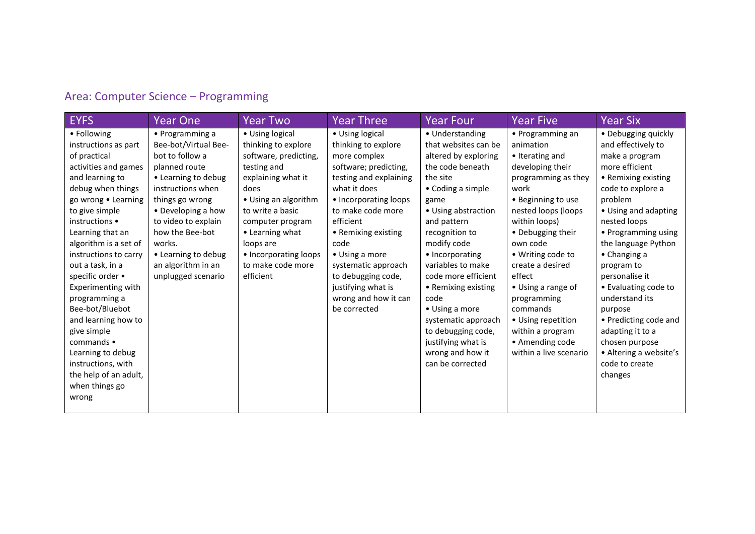### Area: Computer Science – Programming

| <b>EYFS</b>                                                                                                                                                                                                                                                                                                                                                                                                                                                                                               | <b>Year One</b>                                                                                                                                                                                                                                                                         | <b>Year Two</b>                                                                                                                                                                                                                                                         | <b>Year Three</b>                                                                                                                                                                                                                                                                                                                                | <b>Year Four</b>                                                                                                                                                                                                                                                                                                                                                                                                               | <b>Year Five</b>                                                                                                                                                                                                                                                                                                                                                                              | <b>Year Six</b>                                                                                                                                                                                                                                                                                                                                                                                                                                               |
|-----------------------------------------------------------------------------------------------------------------------------------------------------------------------------------------------------------------------------------------------------------------------------------------------------------------------------------------------------------------------------------------------------------------------------------------------------------------------------------------------------------|-----------------------------------------------------------------------------------------------------------------------------------------------------------------------------------------------------------------------------------------------------------------------------------------|-------------------------------------------------------------------------------------------------------------------------------------------------------------------------------------------------------------------------------------------------------------------------|--------------------------------------------------------------------------------------------------------------------------------------------------------------------------------------------------------------------------------------------------------------------------------------------------------------------------------------------------|--------------------------------------------------------------------------------------------------------------------------------------------------------------------------------------------------------------------------------------------------------------------------------------------------------------------------------------------------------------------------------------------------------------------------------|-----------------------------------------------------------------------------------------------------------------------------------------------------------------------------------------------------------------------------------------------------------------------------------------------------------------------------------------------------------------------------------------------|---------------------------------------------------------------------------------------------------------------------------------------------------------------------------------------------------------------------------------------------------------------------------------------------------------------------------------------------------------------------------------------------------------------------------------------------------------------|
| • Following<br>instructions as part<br>of practical<br>activities and games<br>and learning to<br>debug when things<br>go wrong . Learning<br>to give simple<br>instructions •<br>Learning that an<br>algorithm is a set of<br>instructions to carry<br>out a task, in a<br>specific order •<br>Experimenting with<br>programming a<br>Bee-bot/Bluebot<br>and learning how to<br>give simple<br>commands •<br>Learning to debug<br>instructions, with<br>the help of an adult,<br>when things go<br>wrong | • Programming a<br>Bee-bot/Virtual Bee-<br>bot to follow a<br>planned route<br>• Learning to debug<br>instructions when<br>things go wrong<br>• Developing a how<br>to video to explain<br>how the Bee-bot<br>works.<br>• Learning to debug<br>an algorithm in an<br>unplugged scenario | • Using logical<br>thinking to explore<br>software, predicting,<br>testing and<br>explaining what it<br>does<br>• Using an algorithm<br>to write a basic<br>computer program<br>• Learning what<br>loops are<br>• Incorporating loops<br>to make code more<br>efficient | • Using logical<br>thinking to explore<br>more complex<br>software; predicting,<br>testing and explaining<br>what it does<br>• Incorporating loops<br>to make code more<br>efficient<br>• Remixing existing<br>code<br>• Using a more<br>systematic approach<br>to debugging code,<br>justifying what is<br>wrong and how it can<br>be corrected | • Understanding<br>that websites can be<br>altered by exploring<br>the code beneath<br>the site<br>• Coding a simple<br>game<br>• Using abstraction<br>and pattern<br>recognition to<br>modify code<br>• Incorporating<br>variables to make<br>code more efficient<br>• Remixing existing<br>code<br>• Using a more<br>systematic approach<br>to debugging code,<br>justifying what is<br>wrong and how it<br>can be corrected | • Programming an<br>animation<br>• Iterating and<br>developing their<br>programming as they<br>work<br>• Beginning to use<br>nested loops (loops<br>within loops)<br>• Debugging their<br>own code<br>• Writing code to<br>create a desired<br>effect<br>• Using a range of<br>programming<br>commands<br>• Using repetition<br>within a program<br>• Amending code<br>within a live scenario | • Debugging quickly<br>and effectively to<br>make a program<br>more efficient<br>• Remixing existing<br>code to explore a<br>problem<br>• Using and adapting<br>nested loops<br>• Programming using<br>the language Python<br>$\bullet$ Changing a<br>program to<br>personalise it<br>• Evaluating code to<br>understand its<br>purpose<br>• Predicting code and<br>adapting it to a<br>chosen purpose<br>• Altering a website's<br>code to create<br>changes |
|                                                                                                                                                                                                                                                                                                                                                                                                                                                                                                           |                                                                                                                                                                                                                                                                                         |                                                                                                                                                                                                                                                                         |                                                                                                                                                                                                                                                                                                                                                  |                                                                                                                                                                                                                                                                                                                                                                                                                                |                                                                                                                                                                                                                                                                                                                                                                                               |                                                                                                                                                                                                                                                                                                                                                                                                                                                               |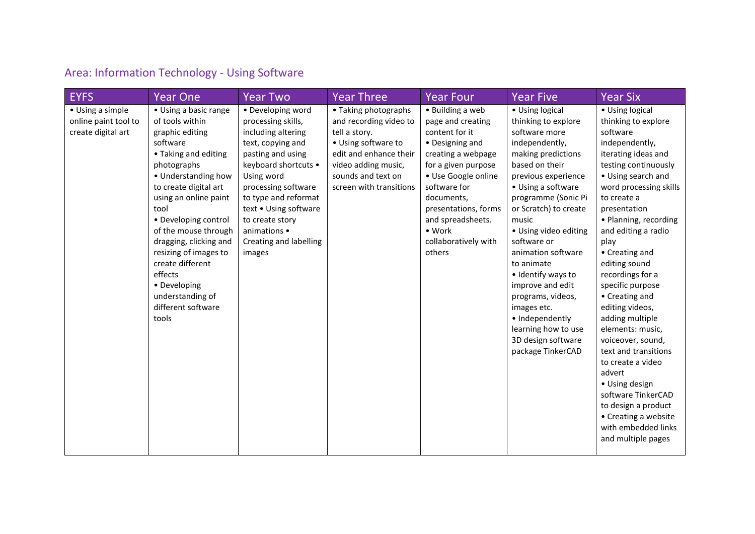# Area: Information Technology - Using Software

| <b>EYFS</b>                                                    | <b>Year One</b>                                                                                                                                                                                                                                                                                                                                                                                      | <b>Year Two</b>                                                                                                                                                                                                                                                                              | <b>Year Three</b>                                                                                                                                                                        | <b>Year Four</b>                                                                                                                                                                                                                                                      | <b>Year Five</b>                                                                                                                                                                                                                                                                                                                                                                                                                                                       | <b>Year Six</b>                                                                                                                                                                                                                                                                                                                                                                                                                                                                                                                                                                                                                   |
|----------------------------------------------------------------|------------------------------------------------------------------------------------------------------------------------------------------------------------------------------------------------------------------------------------------------------------------------------------------------------------------------------------------------------------------------------------------------------|----------------------------------------------------------------------------------------------------------------------------------------------------------------------------------------------------------------------------------------------------------------------------------------------|------------------------------------------------------------------------------------------------------------------------------------------------------------------------------------------|-----------------------------------------------------------------------------------------------------------------------------------------------------------------------------------------------------------------------------------------------------------------------|------------------------------------------------------------------------------------------------------------------------------------------------------------------------------------------------------------------------------------------------------------------------------------------------------------------------------------------------------------------------------------------------------------------------------------------------------------------------|-----------------------------------------------------------------------------------------------------------------------------------------------------------------------------------------------------------------------------------------------------------------------------------------------------------------------------------------------------------------------------------------------------------------------------------------------------------------------------------------------------------------------------------------------------------------------------------------------------------------------------------|
| • Using a simple<br>online paint tool to<br>create digital art | • Using a basic range<br>of tools within<br>graphic editing<br>software<br>• Taking and editing<br>photographs<br>• Understanding how<br>to create digital art<br>using an online paint<br>tool<br>• Developing control<br>of the mouse through<br>dragging, clicking and<br>resizing of images to<br>create different<br>effects<br>• Developing<br>understanding of<br>different software<br>tools | • Developing word<br>processing skills,<br>including altering<br>text, copying and<br>pasting and using<br>keyboard shortcuts •<br>Using word<br>processing software<br>to type and reformat<br>text . Using software<br>to create story<br>animations •<br>Creating and labelling<br>images | • Taking photographs<br>and recording video to<br>tell a story.<br>• Using software to<br>edit and enhance their<br>video adding music,<br>sounds and text on<br>screen with transitions | • Building a web<br>page and creating<br>content for it<br>• Designing and<br>creating a webpage<br>for a given purpose<br>· Use Google online<br>software for<br>documents,<br>presentations, forms<br>and spreadsheets.<br>• Work<br>collaboratively with<br>others | • Using logical<br>thinking to explore<br>software more<br>independently,<br>making predictions<br>based on their<br>previous experience<br>• Using a software<br>programme (Sonic Pi<br>or Scratch) to create<br>music<br>• Using video editing<br>software or<br>animation software<br>to animate<br>• Identify ways to<br>improve and edit<br>programs, videos,<br>images etc.<br>• Independently<br>learning how to use<br>3D design software<br>package TinkerCAD | • Using logical<br>thinking to explore<br>software<br>independently,<br>iterating ideas and<br>testing continuously<br>• Using search and<br>word processing skills<br>to create a<br>presentation<br>• Planning, recording<br>and editing a radio<br>play<br>• Creating and<br>editing sound<br>recordings for a<br>specific purpose<br>• Creating and<br>editing videos,<br>adding multiple<br>elements: music,<br>voiceover, sound,<br>text and transitions<br>to create a video<br>advert<br>• Using design<br>software TinkerCAD<br>to design a product<br>• Creating a website<br>with embedded links<br>and multiple pages |
|                                                                |                                                                                                                                                                                                                                                                                                                                                                                                      |                                                                                                                                                                                                                                                                                              |                                                                                                                                                                                          |                                                                                                                                                                                                                                                                       |                                                                                                                                                                                                                                                                                                                                                                                                                                                                        |                                                                                                                                                                                                                                                                                                                                                                                                                                                                                                                                                                                                                                   |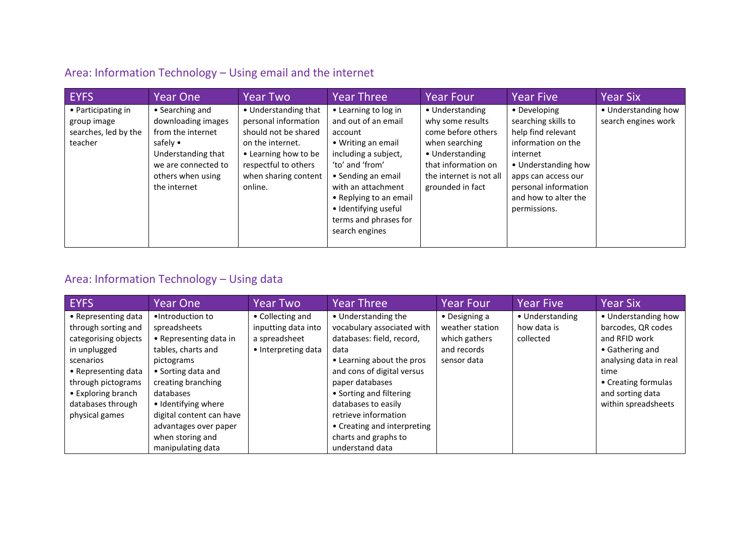### Area: Information Technology – Using email and the internet

| <b>EYFS</b>                                                          | Year One                                                                                                                                                 | Year Two                                                                                                                                                                    | Year Three                                                                                                                                                                                                                                                       | <b>Year Four</b>                                                                                                                                                     | <b>Year Five</b>                                                                                                                                                                                          | <b>Year Six</b>                            |
|----------------------------------------------------------------------|----------------------------------------------------------------------------------------------------------------------------------------------------------|-----------------------------------------------------------------------------------------------------------------------------------------------------------------------------|------------------------------------------------------------------------------------------------------------------------------------------------------------------------------------------------------------------------------------------------------------------|----------------------------------------------------------------------------------------------------------------------------------------------------------------------|-----------------------------------------------------------------------------------------------------------------------------------------------------------------------------------------------------------|--------------------------------------------|
| • Participating in<br>group image<br>searches, led by the<br>teacher | • Searching and<br>downloading images<br>from the internet<br>safely •<br>Understanding that<br>we are connected to<br>others when using<br>the internet | • Understanding that<br>personal information<br>should not be shared<br>on the internet.<br>• Learning how to be<br>respectful to others<br>when sharing content<br>online. | • Learning to log in<br>and out of an email<br>account<br>• Writing an email<br>including a subject,<br>'to' and 'from'<br>• Sending an email<br>with an attachment<br>• Replying to an email<br>· Identifying useful<br>terms and phrases for<br>search engines | • Understanding<br>why some results<br>come before others<br>when searching<br>• Understanding<br>that information on<br>the internet is not all<br>grounded in fact | • Developing<br>searching skills to<br>help find relevant<br>information on the<br>internet<br>• Understanding how<br>apps can access our<br>personal information<br>and how to alter the<br>permissions. | • Understanding how<br>search engines work |

### Area: Information Technology – Using data

| <b>EYFS</b>          | Year One                 | Year Two            | <b>Year Three</b>           | <b>Year Four</b>      | <b>Year Five</b> | <b>Year Six</b>        |
|----------------------|--------------------------|---------------------|-----------------------------|-----------------------|------------------|------------------------|
| • Representing data  | •Introduction to         | • Collecting and    | • Understanding the         | $\bullet$ Designing a | • Understanding  | • Understanding how    |
| through sorting and  | spreadsheets             | inputting data into | vocabulary associated with  | weather station       | how data is      | barcodes, QR codes     |
| categorising objects | • Representing data in   | a spreadsheet       | databases: field, record,   | which gathers         | collected        | and RFID work          |
| in unplugged         | tables, charts and       | • Interpreting data | data                        | and records           |                  | • Gathering and        |
| scenarios            | pictograms               |                     | • Learning about the pros   | sensor data           |                  | analysing data in real |
| • Representing data  | • Sorting data and       |                     | and cons of digital versus  |                       |                  | time                   |
| through pictograms   | creating branching       |                     | paper databases             |                       |                  | • Creating formulas    |
| • Exploring branch   | databases                |                     | • Sorting and filtering     |                       |                  | and sorting data       |
| databases through    | • Identifying where      |                     | databases to easily         |                       |                  | within spreadsheets    |
| physical games       | digital content can have |                     | retrieve information        |                       |                  |                        |
|                      | advantages over paper    |                     | • Creating and interpreting |                       |                  |                        |
|                      | when storing and         |                     | charts and graphs to        |                       |                  |                        |
|                      | manipulating data        |                     | understand data             |                       |                  |                        |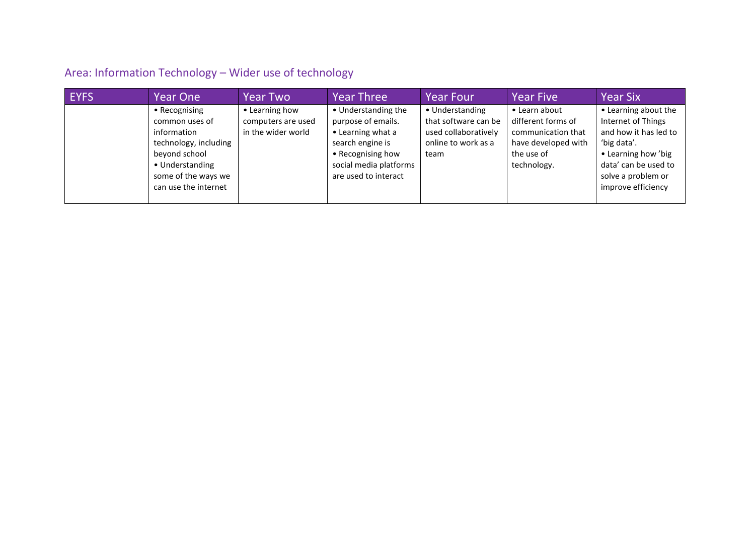# Area: Information Technology – Wider use of technology

| <b>EYFS</b> | <b>Year One</b>                                                                                                                                            | <b>Year Two</b>                                            | <b>Year Three</b>                                                                                                                                         | <b>Year Four</b>                                                                               | <b>Year Five</b>                                                                                              | <b>Year Six</b>                                                                                                                                                               |
|-------------|------------------------------------------------------------------------------------------------------------------------------------------------------------|------------------------------------------------------------|-----------------------------------------------------------------------------------------------------------------------------------------------------------|------------------------------------------------------------------------------------------------|---------------------------------------------------------------------------------------------------------------|-------------------------------------------------------------------------------------------------------------------------------------------------------------------------------|
|             | • Recognising<br>common uses of<br>information<br>technology, including<br>beyond school<br>• Understanding<br>some of the ways we<br>can use the internet | • Learning how<br>computers are used<br>in the wider world | • Understanding the<br>purpose of emails.<br>• Learning what a<br>search engine is<br>• Recognising how<br>social media platforms<br>are used to interact | • Understanding<br>that software can be<br>used collaboratively<br>online to work as a<br>team | • Learn about<br>different forms of<br>communication that<br>have developed with<br>the use of<br>technology. | • Learning about the<br>Internet of Things<br>and how it has led to<br>'big data'.<br>• Learning how 'big<br>data' can be used to<br>solve a problem or<br>improve efficiency |